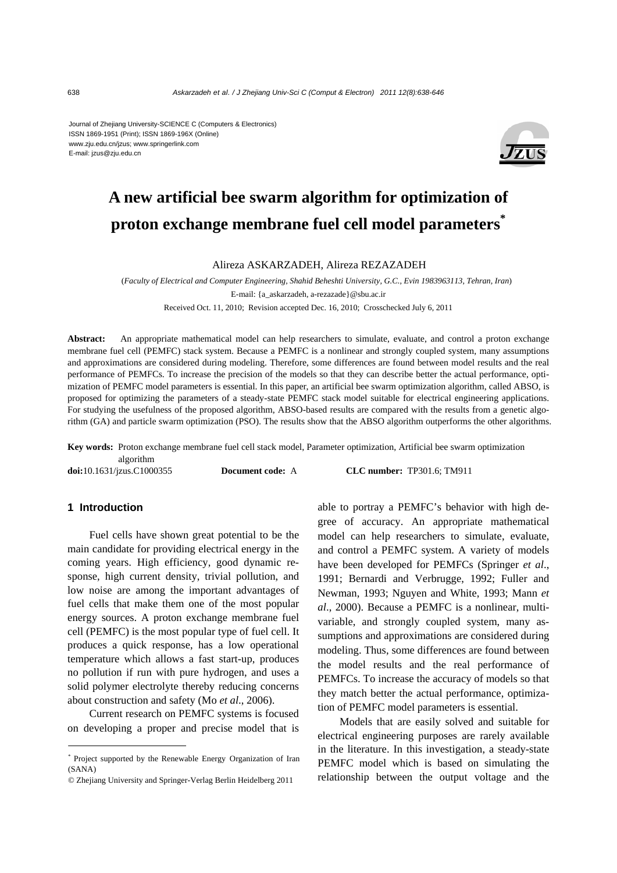Journal of Zhejiang University-SCIENCE C (Computers & Electronics) ISSN 1869-1951 (Print); ISSN 1869-196X (Online) www.zju.edu.cn/jzus; www.springerlink.com E-mail: jzus@zju.edu.cn



# **A new artificial bee swarm algorithm for optimization of proton exchange membrane fuel cell model parameters\***

Alireza ASKARZADEH, Alireza REZAZADEH

(*Faculty of Electrical and Computer Engineering, Shahid Beheshti University, G.C., Evin 1983963113, Tehran, Iran*) E-mail: {a\_askarzadeh, a-rezazade}@sbu.ac.ir Received Oct. 11, 2010; Revision accepted Dec. 16, 2010; Crosschecked July 6, 2011

**Abstract:** An appropriate mathematical model can help researchers to simulate, evaluate, and control a proton exchange membrane fuel cell (PEMFC) stack system. Because a PEMFC is a nonlinear and strongly coupled system, many assumptions and approximations are considered during modeling. Therefore, some differences are found between model results and the real performance of PEMFCs. To increase the precision of the models so that they can describe better the actual performance, optimization of PEMFC model parameters is essential. In this paper, an artificial bee swarm optimization algorithm, called ABSO, is proposed for optimizing the parameters of a steady-state PEMFC stack model suitable for electrical engineering applications. For studying the usefulness of the proposed algorithm, ABSO-based results are compared with the results from a genetic algorithm (GA) and particle swarm optimization (PSO). The results show that the ABSO algorithm outperforms the other algorithms.

**Key words:** Proton exchange membrane fuel cell stack model, Parameter optimization, Artificial bee swarm optimization algorithm

**doi:**10.1631/jzus.C1000355 **Document code:** A **CLC number:** TP301.6; TM911

## **1 Introduction**

Fuel cells have shown great potential to be the main candidate for providing electrical energy in the coming years. High efficiency, good dynamic response, high current density, trivial pollution, and low noise are among the important advantages of fuel cells that make them one of the most popular energy sources. A proton exchange membrane fuel cell (PEMFC) is the most popular type of fuel cell. It produces a quick response, has a low operational temperature which allows a fast start-up, produces no pollution if run with pure hydrogen, and uses a solid polymer electrolyte thereby reducing concerns about construction and safety (Mo *et al*., 2006).

Current research on PEMFC systems is focused on developing a proper and precise model that is able to portray a PEMFC's behavior with high degree of accuracy. An appropriate mathematical model can help researchers to simulate, evaluate, and control a PEMFC system. A variety of models have been developed for PEMFCs (Springer *et al*., 1991; Bernardi and Verbrugge, 1992; Fuller and Newman, 1993; Nguyen and White, 1993; Mann *et al*., 2000). Because a PEMFC is a nonlinear, multivariable, and strongly coupled system, many assumptions and approximations are considered during modeling. Thus, some differences are found between the model results and the real performance of PEMFCs. To increase the accuracy of models so that they match better the actual performance, optimization of PEMFC model parameters is essential.

Models that are easily solved and suitable for electrical engineering purposes are rarely available in the literature. In this investigation, a steady-state PEMFC model which is based on simulating the relationship between the output voltage and the

<sup>\*</sup> Project supported by the Renewable Energy Organization of Iran  $(SANA)$ 

<sup>©</sup> Zhejiang University and Springer-Verlag Berlin Heidelberg 2011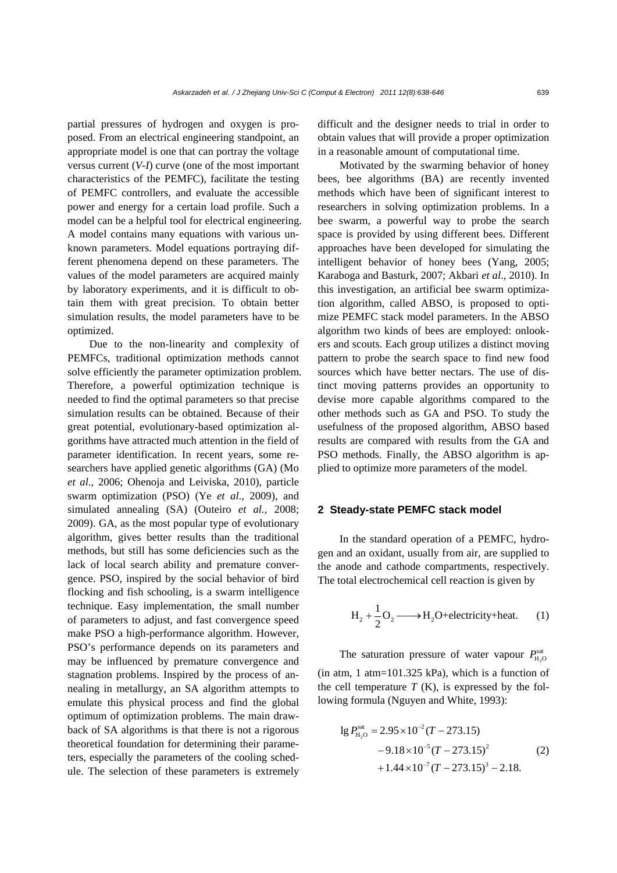partial pressures of hydrogen and oxygen is proposed. From an electrical engineering standpoint, an appropriate model is one that can portray the voltage versus current (*V-I*) curve (one of the most important characteristics of the PEMFC), facilitate the testing of PEMFC controllers, and evaluate the accessible power and energy for a certain load profile. Such a model can be a helpful tool for electrical engineering. A model contains many equations with various unknown parameters. Model equations portraying different phenomena depend on these parameters. The values of the model parameters are acquired mainly by laboratory experiments, and it is difficult to obtain them with great precision. To obtain better simulation results, the model parameters have to be optimized.

Due to the non-linearity and complexity of PEMFCs, traditional optimization methods cannot solve efficiently the parameter optimization problem. Therefore, a powerful optimization technique is needed to find the optimal parameters so that precise simulation results can be obtained. Because of their great potential, evolutionary-based optimization algorithms have attracted much attention in the field of parameter identification. In recent years, some researchers have applied genetic algorithms (GA) (Mo *et al*., 2006; Ohenoja and Leiviska, 2010), particle swarm optimization (PSO) (Ye *et al*., 2009), and simulated annealing (SA) (Outeiro *et al.*, 2008; 2009). GA, as the most popular type of evolutionary algorithm, gives better results than the traditional methods, but still has some deficiencies such as the lack of local search ability and premature convergence. PSO, inspired by the social behavior of bird flocking and fish schooling, is a swarm intelligence technique. Easy implementation, the small number of parameters to adjust, and fast convergence speed make PSO a high-performance algorithm. However, PSO's performance depends on its parameters and may be influenced by premature convergence and stagnation problems. Inspired by the process of annealing in metallurgy, an SA algorithm attempts to emulate this physical process and find the global optimum of optimization problems. The main drawback of SA algorithms is that there is not a rigorous theoretical foundation for determining their parameters, especially the parameters of the cooling schedule. The selection of these parameters is extremely

difficult and the designer needs to trial in order to obtain values that will provide a proper optimization in a reasonable amount of computational time.

Motivated by the swarming behavior of honey bees, bee algorithms (BA) are recently invented methods which have been of significant interest to researchers in solving optimization problems. In a bee swarm, a powerful way to probe the search space is provided by using different bees. Different approaches have been developed for simulating the intelligent behavior of honey bees (Yang, 2005; Karaboga and Basturk, 2007; Akbari *et al*., 2010). In this investigation, an artificial bee swarm optimization algorithm, called ABSO, is proposed to optimize PEMFC stack model parameters. In the ABSO algorithm two kinds of bees are employed: onlookers and scouts. Each group utilizes a distinct moving pattern to probe the search space to find new food sources which have better nectars. The use of distinct moving patterns provides an opportunity to devise more capable algorithms compared to the other methods such as GA and PSO. To study the usefulness of the proposed algorithm, ABSO based results are compared with results from the GA and PSO methods. Finally, the ABSO algorithm is applied to optimize more parameters of the model.

## **2 Steady-state PEMFC stack model**

In the standard operation of a PEMFC, hydrogen and an oxidant, usually from air, are supplied to the anode and cathode compartments, respectively. The total electrochemical cell reaction is given by

$$
H_2 + \frac{1}{2}O_2 \longrightarrow H_2O + electricity + heat.
$$
 (1)

The saturation pressure of water vapour  $P_{\text{H}_2\text{O}}^{\text{sat}}$  $(in atm, 1 atm=101.325 kPa)$ , which is a function of the cell temperature  $T(K)$ , is expressed by the following formula (Nguyen and White, 1993):

$$
lg P_{\text{H}_2\text{O}}^{\text{sat}} = 2.95 \times 10^{-2} (T - 273.15)
$$
  
-9.18 \times 10^{-5} (T - 273.15)<sup>2</sup>  
+1.44 \times 10^{-7} (T - 273.15)<sup>3</sup> - 2.18. (2)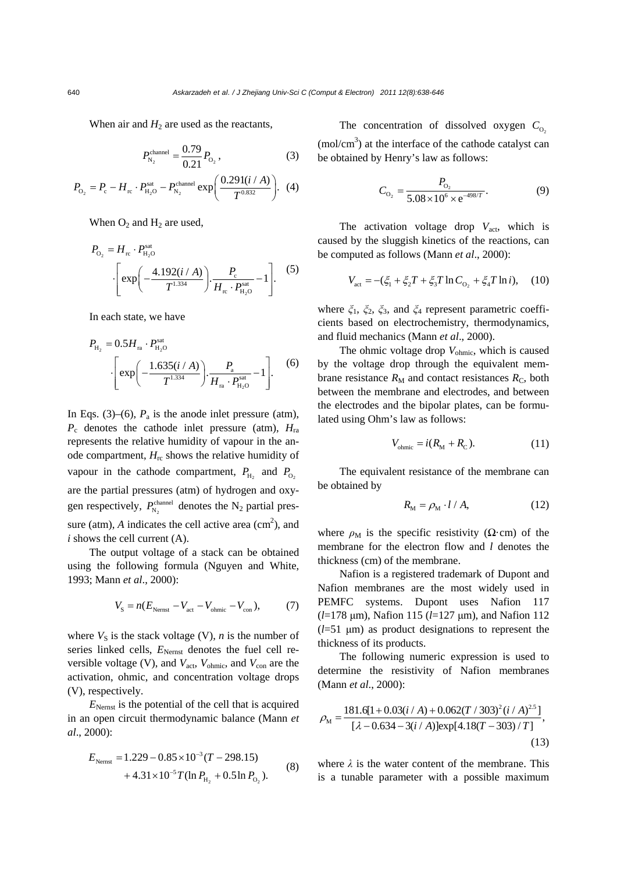When air and  $H_2$  are used as the reactants,

$$
P_{\rm N_2}^{\rm channel} = \frac{0.79}{0.21} P_{\rm O_2},\tag{3}
$$

$$
P_{\text{O}_2} = P_{\text{c}} - H_{\text{rc}} \cdot P_{\text{H}_2\text{O}}^{\text{stat}} - P_{\text{N}_2}^{\text{channel}} \exp\bigg(\frac{0.291(i/A)}{T^{0.832}}\bigg). \tag{4}
$$

When  $O_2$  and  $H_2$  are used,

$$
P_{\text{O}_2} = H_{\text{rc}} \cdot P_{\text{H}_2\text{O}}^{\text{sat}} \\
-\left[\exp\left(-\frac{4.192(i/A)}{T^{1.334}}\right) \cdot \frac{P_{\text{c}}}{H_{\text{rc}} \cdot P_{\text{H}_2\text{O}}^{\text{sat}}} - 1\right].\n\tag{5}
$$

In each state, we have

$$
P_{\text{H}_{2}} = 0.5H_{\text{ra}} \cdot P_{\text{H}_{2}\text{O}}^{\text{sat}}
$$

$$
\cdot \left[ \exp\left(-\frac{1.635(i/A)}{T^{1.334}}\right) \cdot \frac{P_{\text{a}}}{H_{\text{ra}} \cdot P_{\text{H}_{2}\text{O}}^{ \text{sat}}} - 1 \right].
$$
 (6)

In Eqs. (3)–(6),  $P_a$  is the anode inlet pressure (atm),  $P_c$  denotes the cathode inlet pressure (atm),  $H_{\text{ra}}$ represents the relative humidity of vapour in the anode compartment,  $H_{\text{rc}}$  shows the relative humidity of vapour in the cathode compartment,  $P_{\text{H}_2}$  and  $P_{\text{O}_2}$ are the partial pressures (atm) of hydrogen and oxygen respectively,  $P_{N_2}^{\text{channel}}$  denotes the N<sub>2</sub> partial pressure (atm),  $A$  indicates the cell active area (cm<sup>2</sup>), and *i* shows the cell current (A).

The output voltage of a stack can be obtained using the following formula (Nguyen and White, 1993; Mann *et al*., 2000):

$$
V_{\rm S} = n(E_{\rm Nernst} - V_{\rm act} - V_{\rm ohmic} - V_{\rm con}),\tag{7}
$$

where  $V_S$  is the stack voltage (V), *n* is the number of series linked cells,  $E_{\text{Nernst}}$  denotes the fuel cell reversible voltage (V), and  $V_{\text{act}}$ ,  $V_{\text{ohmic}}$ , and  $V_{\text{con}}$  are the activation, ohmic, and concentration voltage drops (V), respectively.

*E*Nernst is the potential of the cell that is acquired in an open circuit thermodynamic balance (Mann *et al*., 2000):

$$
E_{\text{Nernst}} = 1.229 - 0.85 \times 10^{-3} (T - 298.15)
$$
  
+ 4.31 \times 10^{-5} T (ln P\_{\text{H}\_2} + 0.5 ln P\_{\text{O}\_2}). (8)

The concentration of dissolved oxygen  $C_{0}$ 

 $(mol/cm<sup>3</sup>)$  at the interface of the cathode catalyst can be obtained by Henry's law as follows:

$$
C_{\text{O}_2} = \frac{P_{\text{O}_2}}{5.08 \times 10^6 \times \text{e}^{-498/T}}.
$$
 (9)

The activation voltage drop  $V_{\text{act}}$ , which is caused by the sluggish kinetics of the reactions, can be computed as follows (Mann *et al*., 2000):

$$
V_{\text{act}} = -(\xi_1 + \xi_2 T + \xi_3 T \ln C_{\text{O}_2} + \xi_4 T \ln i), \quad (10)
$$

where *ξ*1, *ξ*2, *ξ*3, and *ξ*4 represent parametric coefficients based on electrochemistry, thermodynamics, and fluid mechanics (Mann *et al*., 2000).

The ohmic voltage drop  $V_{\text{ohmic}}$ , which is caused by the voltage drop through the equivalent membrane resistance  $R_M$  and contact resistances  $R_C$ , both between the membrane and electrodes, and between the electrodes and the bipolar plates, can be formulated using Ohm's law as follows:

$$
V_{\text{ohmic}} = i(R_{\text{M}} + R_{\text{C}}). \tag{11}
$$

The equivalent resistance of the membrane can be obtained by

$$
R_{\rm M} = \rho_{\rm M} \cdot l / A,\tag{12}
$$

where  $\rho_M$  is the specific resistivity ( $\Omega$ ·cm) of the membrane for the electron flow and *l* denotes the thickness (cm) of the membrane.

Nafion is a registered trademark of Dupont and Nafion membranes are the most widely used in PEMFC systems. Dupont uses Nafion 117 (*l*=178 μm), Nafion 115 (*l*=127 μm), and Nafion 112 (*l*=51 μm) as product designations to represent the thickness of its products.

The following numeric expression is used to determine the resistivity of Nafion membranes (Mann *et al*., 2000):

$$
\rho_{\rm M} = \frac{181.6[1 + 0.03(i/A) + 0.062(T/303)^{2}(i/A)^{2.5}]}{[\lambda - 0.634 - 3(i/A)]\exp[4.18(T - 303)/T]},
$$
\n(13)

where  $\lambda$  is the water content of the membrane. This is a tunable parameter with a possible maximum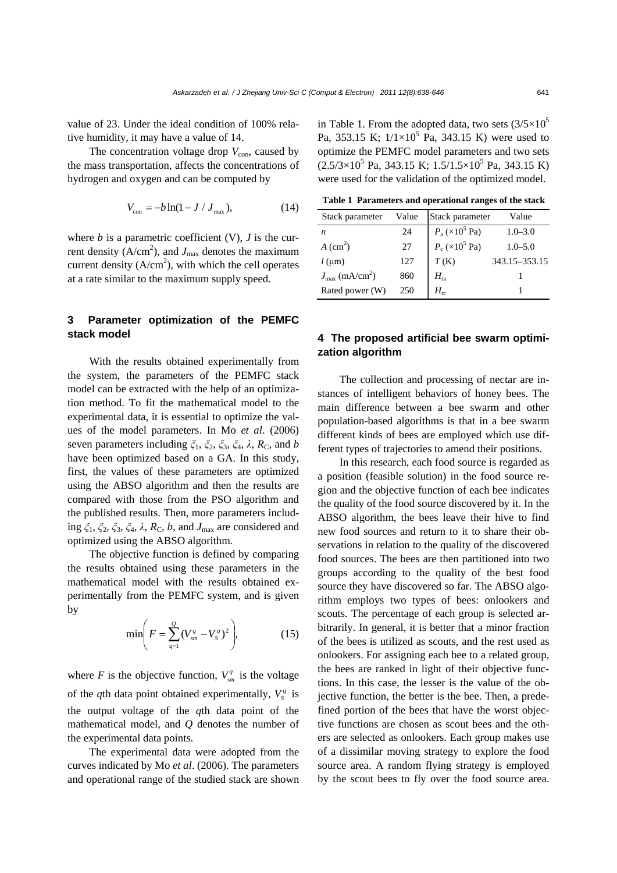value of 23. Under the ideal condition of 100% relative humidity, it may have a value of 14.

The concentration voltage drop  $V_{\text{con}}$ , caused by the mass transportation, affects the concentrations of hydrogen and oxygen and can be computed by

$$
V_{\rm con} = -b \ln(1 - J / J_{\rm max}), \tag{14}
$$

where  $b$  is a parametric coefficient (V),  $J$  is the current density  $(A/cm<sup>2</sup>)$ , and  $J<sub>max</sub>$  denotes the maximum current density  $(A/cm<sup>2</sup>)$ , with which the cell operates at a rate similar to the maximum supply speed.

# **3 Parameter optimization of the PEMFC stack model**

With the results obtained experimentally from the system, the parameters of the PEMFC stack model can be extracted with the help of an optimization method. To fit the mathematical model to the experimental data, it is essential to optimize the values of the model parameters. In Mo *et al*. (2006) seven parameters including  $\zeta_1$ ,  $\zeta_2$ ,  $\zeta_3$ ,  $\zeta_4$ , λ, R<sub>C</sub>, and *b* have been optimized based on a GA. In this study, first, the values of these parameters are optimized using the ABSO algorithm and then the results are compared with those from the PSO algorithm and the published results. Then, more parameters including  $\xi_1$ ,  $\xi_2$ ,  $\xi_3$ ,  $\xi_4$ ,  $\lambda$ ,  $R_C$ ,  $b$ , and  $J_{\text{max}}$  are considered and optimized using the ABSO algorithm.

The objective function is defined by comparing the results obtained using these parameters in the mathematical model with the results obtained experimentally from the PEMFC system, and is given by

$$
\min\left(F = \sum_{q=1}^{Q} (V_{sm}^q - V_S^q)^2\right),\tag{15}
$$

where *F* is the objective function,  $V_{sm}^{q}$  is the voltage of the *q*th data point obtained experimentally,  $V_s^q$  is the output voltage of the *q*th data point of the mathematical model, and *Q* denotes the number of the experimental data points.

The experimental data were adopted from the curves indicated by Mo *et al*. (2006). The parameters and operational range of the studied stack are shown

in Table 1. From the adopted data, two sets  $(3/5\times10^5$ Pa, 353.15 K;  $1/1 \times 10^5$  Pa, 343.15 K) were used to optimize the PEMFC model parameters and two sets  $(2.5/3\times10^5 \text{ Pa}, 343.15 \text{ K}; 1.5/1.5\times10^5 \text{ Pa}, 343.15 \text{ K})$ were used for the validation of the optimized model.

**Table 1 Parameters and operational ranges of the stack** 

| Stack parameter                        | Value | Stack parameter                                                  | Value           |
|----------------------------------------|-------|------------------------------------------------------------------|-----------------|
| n                                      | 24    | $P_a (\times 10^5 \text{ Pa})$<br>$P_c (\times 10^5 \text{ Pa})$ | $1.0 - 3.0$     |
| $A$ (cm <sup>2</sup> )                 | 27    |                                                                  | $1.0 - 5.0$     |
| $l$ (µm)                               | 127   | T(K)                                                             | 343.15 - 353.15 |
| $J_{\text{max}}$ (mA/cm <sup>2</sup> ) | 860   | $H_{\rm ra}$                                                     |                 |
| Rated power (W)                        | 250   |                                                                  |                 |

# **4 The proposed artificial bee swarm optimization algorithm**

The collection and processing of nectar are instances of intelligent behaviors of honey bees. The main difference between a bee swarm and other population-based algorithms is that in a bee swarm different kinds of bees are employed which use different types of trajectories to amend their positions.

In this research, each food source is regarded as a position (feasible solution) in the food source region and the objective function of each bee indicates the quality of the food source discovered by it. In the ABSO algorithm, the bees leave their hive to find new food sources and return to it to share their observations in relation to the quality of the discovered food sources. The bees are then partitioned into two groups according to the quality of the best food source they have discovered so far. The ABSO algorithm employs two types of bees: onlookers and scouts. The percentage of each group is selected arbitrarily. In general, it is better that a minor fraction of the bees is utilized as scouts, and the rest used as onlookers. For assigning each bee to a related group, the bees are ranked in light of their objective functions. In this case, the lesser is the value of the objective function, the better is the bee. Then, a predefined portion of the bees that have the worst objective functions are chosen as scout bees and the others are selected as onlookers. Each group makes use of a dissimilar moving strategy to explore the food source area. A random flying strategy is employed by the scout bees to fly over the food source area.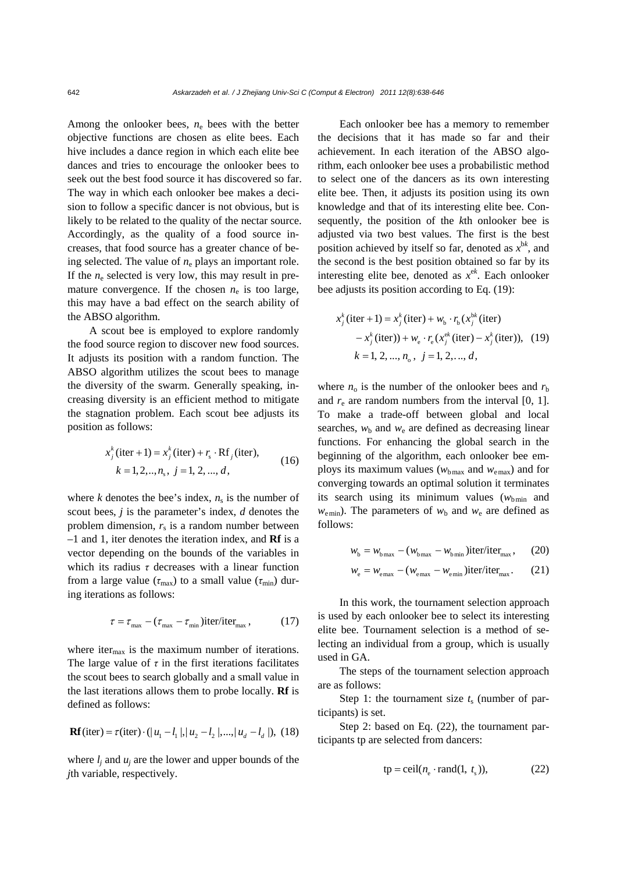Among the onlooker bees,  $n_e$  bees with the better objective functions are chosen as elite bees. Each hive includes a dance region in which each elite bee dances and tries to encourage the onlooker bees to seek out the best food source it has discovered so far. The way in which each onlooker bee makes a decision to follow a specific dancer is not obvious, but is likely to be related to the quality of the nectar source. Accordingly, as the quality of a food source increases, that food source has a greater chance of being selected. The value of  $n_e$  plays an important role. If the  $n_e$  selected is very low, this may result in premature convergence. If the chosen  $n_e$  is too large, this may have a bad effect on the search ability of the ABSO algorithm.

A scout bee is employed to explore randomly the food source region to discover new food sources. It adjusts its position with a random function. The ABSO algorithm utilizes the scout bees to manage the diversity of the swarm. Generally speaking, increasing diversity is an efficient method to mitigate the stagnation problem. Each scout bee adjusts its position as follows:

$$
x_j^k \text{ (iter + 1)} = x_j^k \text{ (iter)} + r_s \cdot \text{Rf}_j \text{ (iter)},
$$
  
\n
$$
k = 1, 2, ..., n_s, \ j = 1, 2, ..., d,
$$
 (16)

where  $k$  denotes the bee's index,  $n<sub>s</sub>$  is the number of scout bees, *j* is the parameter's index, *d* denotes the problem dimension,  $r_s$  is a random number between –1 and 1, iter denotes the iteration index, and **Rf** is a vector depending on the bounds of the variables in which its radius  $\tau$  decreases with a linear function from a large value ( $τ_{max}$ ) to a small value ( $τ_{min}$ ) during iterations as follows:

$$
\tau = \tau_{\text{max}} - (\tau_{\text{max}} - \tau_{\text{min}})\text{iter/iter}_{\text{max}}, \qquad (17)
$$

where iter $_{\text{max}}$  is the maximum number of iterations. The large value of  $\tau$  in the first iterations facilitates the scout bees to search globally and a small value in the last iterations allows them to probe locally. **Rf** is defined as follows:

$$
\mathbf{Rf}(\text{iter}) = \tau(\text{iter}) \cdot (|u_1 - l_1|, |u_2 - l_2|, ..., |u_d - l_d|), (18)
$$

where  $l_i$  and  $u_i$  are the lower and upper bounds of the *j*th variable, respectively.

Each onlooker bee has a memory to remember the decisions that it has made so far and their achievement. In each iteration of the ABSO algorithm, each onlooker bee uses a probabilistic method to select one of the dancers as its own interesting elite bee. Then, it adjusts its position using its own knowledge and that of its interesting elite bee. Consequently, the position of the *k*th onlooker bee is adjusted via two best values. The first is the best position achieved by itself so far, denoted as  $x^{bk}$ , and the second is the best position obtained so far by its interesting elite bee, denoted as  $x^{ek}$ . Each onlooker bee adjusts its position according to Eq. (19):

$$
x_j^k \text{ (iter + 1)} = x_j^k \text{ (iter)} + w_b \cdot r_b \left( x_j^{bk} \text{ (iter)} \right. \\
 \left. - x_j^k \text{ (iter)} \right) + w_e \cdot r_e \left( x_j^{ck} \text{ (iter)} - x_j^k \text{ (iter)} \right), \text{ (19)} \\
 k = 1, 2, ..., n_o, \ j = 1, 2, ..., d,
$$

where  $n_0$  is the number of the onlooker bees and  $r<sub>b</sub>$ and  $r_{e}$  are random numbers from the interval  $[0, 1]$ . To make a trade-off between global and local searches,  $w<sub>b</sub>$  and  $w<sub>e</sub>$  are defined as decreasing linear functions. For enhancing the global search in the beginning of the algorithm, each onlooker bee employs its maximum values ( $w_{bmax}$  and  $w_{emax}$ ) and for converging towards an optimal solution it terminates its search using its minimum values  $(w<sub>bmin</sub>$  and  $w_{\text{emin}}$ ). The parameters of  $w_{\text{b}}$  and  $w_{\text{e}}$  are defined as follows:

$$
w_{\rm b} = w_{\rm bmax} - (w_{\rm bmax} - w_{\rm bmin}) \text{iter/iter}_{\rm max}, \qquad (20)
$$

$$
w_{\rm e} = w_{\rm emax} - (w_{\rm emax} - w_{\rm emin}) \text{iter/iter}_{\rm max}. \qquad (21)
$$

In this work, the tournament selection approach is used by each onlooker bee to select its interesting elite bee. Tournament selection is a method of selecting an individual from a group, which is usually used in GA.

The steps of the tournament selection approach are as follows:

Step 1: the tournament size  $t_s$  (number of participants) is set.

Step 2: based on Eq. (22), the tournament participants tp are selected from dancers:

$$
tp = \text{ceil}(n_e \cdot \text{rand}(1, t_s)), \tag{22}
$$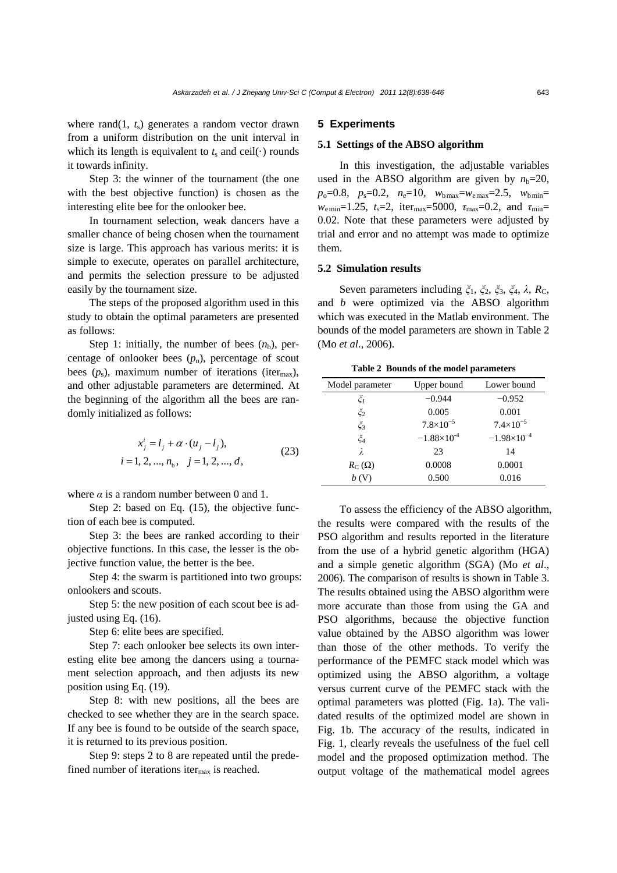where rand $(1, t_s)$  generates a random vector drawn from a uniform distribution on the unit interval in which its length is equivalent to  $t_s$  and ceil( $\cdot$ ) rounds it towards infinity.

Step 3: the winner of the tournament (the one with the best objective function) is chosen as the interesting elite bee for the onlooker bee.

In tournament selection, weak dancers have a smaller chance of being chosen when the tournament size is large. This approach has various merits: it is simple to execute, operates on parallel architecture, and permits the selection pressure to be adjusted easily by the tournament size.

The steps of the proposed algorithm used in this study to obtain the optimal parameters are presented as follows:

Step 1: initially, the number of bees  $(n_b)$ , percentage of onlooker bees  $(p_0)$ , percentage of scout bees  $(p_s)$ , maximum number of iterations (iter<sub>max</sub>), and other adjustable parameters are determined. At the beginning of the algorithm all the bees are randomly initialized as follows:

$$
x_j^i = l_j + \alpha \cdot (u_j - l_j),
$$
  
= 1, 2, ..., n\_h, j = 1, 2, ..., d, (23)

$$
i = 1, 2, ..., n_b, \quad j = 1, 2, ..., d,
$$

where  $\alpha$  is a random number between 0 and 1.

Step 2: based on Eq. (15), the objective function of each bee is computed.

Step 3: the bees are ranked according to their objective functions. In this case, the lesser is the objective function value, the better is the bee.

Step 4: the swarm is partitioned into two groups: onlookers and scouts.

Step 5: the new position of each scout bee is adjusted using Eq. (16).

Step 6: elite bees are specified.

Step 7: each onlooker bee selects its own interesting elite bee among the dancers using a tournament selection approach, and then adjusts its new position using Eq. (19).

Step 8: with new positions, all the bees are checked to see whether they are in the search space. If any bee is found to be outside of the search space, it is returned to its previous position.

Step 9: steps 2 to 8 are repeated until the predefined number of iterations iter $_{\text{max}}$  is reached.

#### **5 Experiments**

### **5.1 Settings of the ABSO algorithm**

In this investigation, the adjustable variables used in the ABSO algorithm are given by  $n_b=20$ ,  $p_o=0.8$ ,  $p_s=0.2$ ,  $n_e=10$ ,  $w_{bmax}=w_{emax}=2.5$ ,  $w_{bmin}=$ *w*<sub>emin</sub>=1.25, *t*<sub>s</sub>=2, iter<sub>max</sub>=5000, *τ*<sub>max</sub>=0.2, and *τ*<sub>min</sub>= 0.02. Note that these parameters were adjusted by trial and error and no attempt was made to optimize them.

# **5.2 Simulation results**

Seven parameters including  $\zeta_1$ ,  $\zeta_2$ ,  $\zeta_3$ ,  $\zeta_4$ , λ, R<sub>C</sub>, and *b* were optimized via the ABSO algorithm which was executed in the Matlab environment. The bounds of the model parameters are shown in Table 2 (Mo *et al*., 2006).

**Table 2 Bounds of the model parameters** 

| Model parameter   | Upper bound          | Lower bound          |
|-------------------|----------------------|----------------------|
| $\zeta_1$         | $-0.944$             | $-0.952$             |
| $\zeta_2$         | 0.005                | 0.001                |
| $\check{\zeta}_3$ | $7.8 \times 10^{-5}$ | $7.4 \times 10^{-5}$ |
| $\zeta_4$         | $-1.88\times10^{-4}$ | $-1.98\times10^{-4}$ |
| $\lambda$         | 23                   | 14                   |
| $R_C(\Omega)$     | 0.0008               | 0.0001               |
|                   | 0.500                | 0.016                |

To assess the efficiency of the ABSO algorithm, the results were compared with the results of the PSO algorithm and results reported in the literature from the use of a hybrid genetic algorithm (HGA) and a simple genetic algorithm (SGA) (Mo *et al*., 2006). The comparison of results is shown in Table 3. The results obtained using the ABSO algorithm were more accurate than those from using the GA and PSO algorithms, because the objective function value obtained by the ABSO algorithm was lower than those of the other methods. To verify the performance of the PEMFC stack model which was optimized using the ABSO algorithm, a voltage versus current curve of the PEMFC stack with the optimal parameters was plotted (Fig. 1a). The validated results of the optimized model are shown in Fig. 1b. The accuracy of the results, indicated in Fig. 1, clearly reveals the usefulness of the fuel cell model and the proposed optimization method. The output voltage of the mathematical model agrees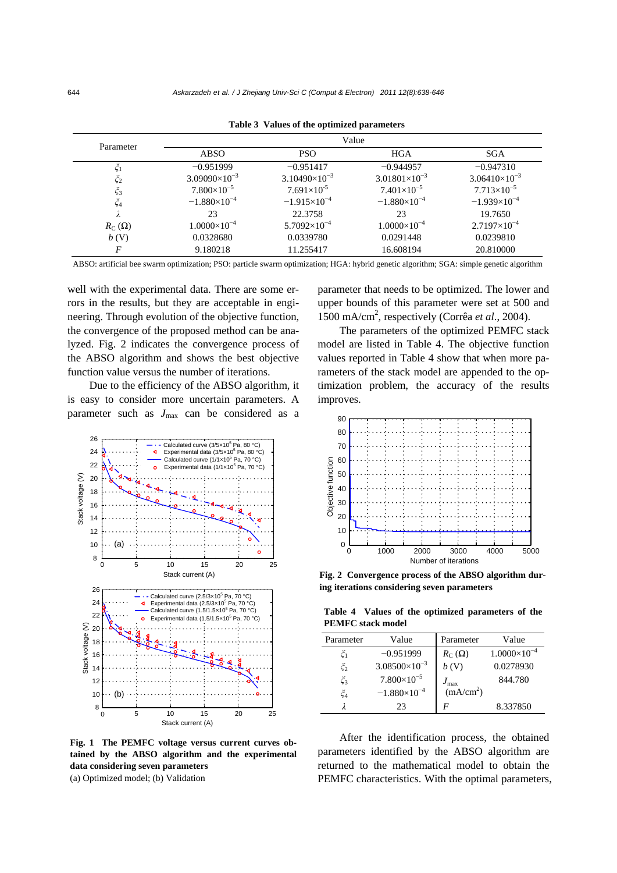| Parameter           | Value                  |                        |                        |                        |
|---------------------|------------------------|------------------------|------------------------|------------------------|
|                     | <b>ABSO</b>            | <b>PSO</b>             | <b>HGA</b>             | <b>SGA</b>             |
|                     | $-0.951999$            | $-0.951417$            | $-0.944957$            | $-0.947310$            |
| $\zeta_2$           | $3.09090\times10^{-3}$ | $3.10490\times10^{-3}$ | $3.01801\times10^{-3}$ | $3.06410\times10^{-3}$ |
| $\xi_3$             | $7.800\times10^{-5}$   | $7.691\times10^{-5}$   | $7.401\times10^{-5}$   | $7.713\times10^{-5}$   |
| ζ4                  | $-1.880\times10^{-4}$  | $-1.915\times10^{-4}$  | $-1.880\times10^{-4}$  | $-1.939\times10^{-4}$  |
|                     | 23                     | 22.3758                | 23                     | 19.7650                |
| $R_{\rm C}(\Omega)$ | $1.0000\times10^{-4}$  | $5.7092\times10^{-4}$  | $1.0000\times10^{-4}$  | $2.7197\times10^{-4}$  |
| b(V)                | 0.0328680              | 0.0339780              | 0.0291448              | 0.0239810              |
| F                   | 9.180218               | 11.255417              | 16.608194              | 20.810000              |

**Table 3 Values of the optimized parameters**

ABSO: artificial bee swarm optimization; PSO: particle swarm optimization; HGA: hybrid genetic algorithm; SGA: simple genetic algorithm

well with the experimental data. There are some errors in the results, but they are acceptable in engineering. Through evolution of the objective function, the convergence of the proposed method can be analyzed. Fig. 2 indicates the convergence process of the ABSO algorithm and shows the best objective function value versus the number of iterations.

Due to the efficiency of the ABSO algorithm, it is easy to consider more uncertain parameters. A parameter such as  $J_{\text{max}}$  can be considered as a



**Fig. 1 The PEMFC voltage versus current curves obtained by the ABSO algorithm and the experimental data considering seven parameters**  (a) Optimized model; (b) Validation

parameter that needs to be optimized. The lower and upper bounds of this parameter were set at 500 and 1500 mA/cm2 , respectively (Corrêa *et al*., 2004).

The parameters of the optimized PEMFC stack model are listed in Table 4. The objective function values reported in Table 4 show that when more parameters of the stack model are appended to the optimization problem, the accuracy of the results improves.



**Fig. 2 Convergence process of the ABSO algorithm during iterations considering seven parameters**

**Table 4 Values of the optimized parameters of the PEMFC stack model** 

| Parameter         | Value                  | Parameter             | Value                 |
|-------------------|------------------------|-----------------------|-----------------------|
| ζı                | $-0.951999$            | $R_C(\Omega)$         | $1.0000\times10^{-4}$ |
| $\zeta_2$         | $3.08500\times10^{-3}$ | b(V)                  | 0.0278930             |
| $\check{\zeta}_3$ | $7.800\times10^{-5}$   | $J_{\rm max}$         | 844.780               |
| $\check{\zeta}_4$ | $-1.880\times10^{-4}$  | (mA/cm <sup>2</sup> ) |                       |
|                   | 23                     | F                     | 8.337850              |

After the identification process, the obtained parameters identified by the ABSO algorithm are returned to the mathematical model to obtain the PEMFC characteristics. With the optimal parameters,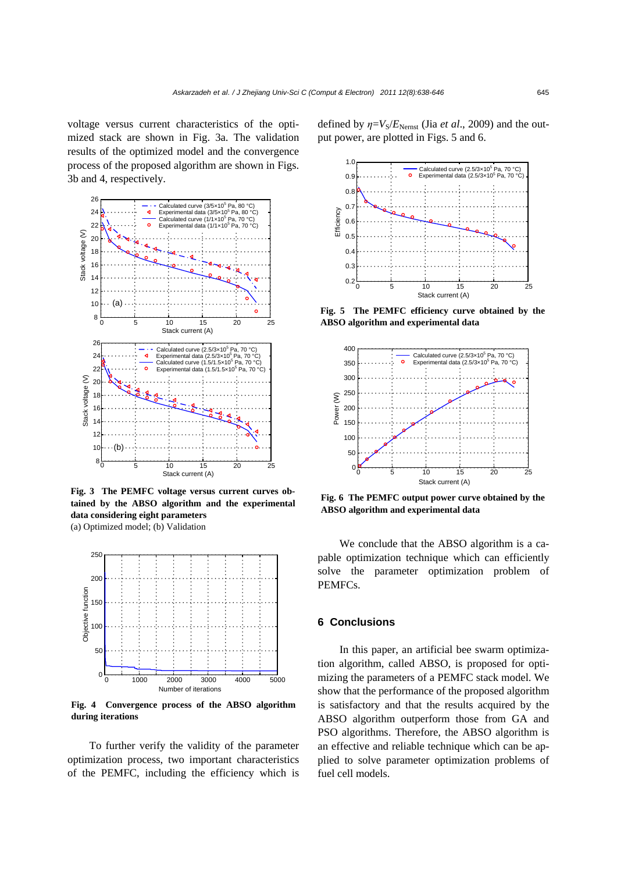voltage versus current characteristics of the optimized stack are shown in Fig. 3a. The validation results of the optimized model and the convergence process of the proposed algorithm are shown in Figs. 3b and 4, respectively.



**Fig. 3 The PEMFC voltage versus current curves obtained by the ABSO algorithm and the experimental data considering eight parameters**  (a) Optimized model; (b) Validation



**Fig. 4 Convergence process of the ABSO algorithm during iterations**

To further verify the validity of the parameter optimization process, two important characteristics of the PEMFC, including the efficiency which is defined by  $\eta = V_s/E_{\text{Nernst}}$  (Jia *et al.*, 2009) and the output power, are plotted in Figs. 5 and 6.



**Fig. 5 The PEMFC efficiency curve obtained by the ABSO algorithm and experimental data**



**Fig. 6 The PEMFC output power curve obtained by the ABSO algorithm and experimental data**

We conclude that the ABSO algorithm is a capable optimization technique which can efficiently solve the parameter optimization problem of PEMFCs.

## **6 Conclusions**

In this paper, an artificial bee swarm optimization algorithm, called ABSO, is proposed for optimizing the parameters of a PEMFC stack model. We show that the performance of the proposed algorithm is satisfactory and that the results acquired by the ABSO algorithm outperform those from GA and PSO algorithms. Therefore, the ABSO algorithm is an effective and reliable technique which can be applied to solve parameter optimization problems of fuel cell models.